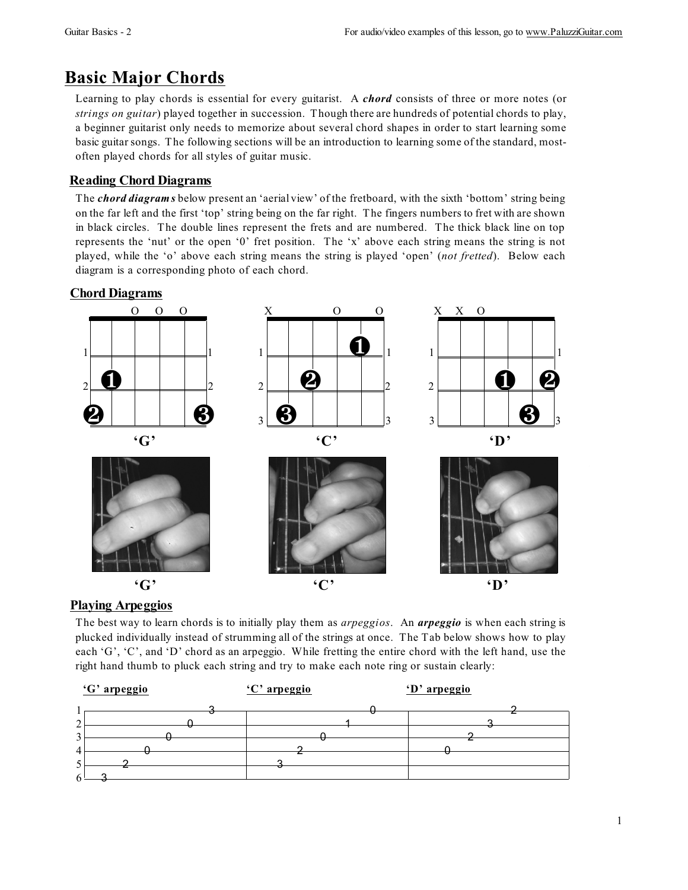# **Basic Major Chords**

Learning to play chords is essential for every guitarist. A chord consists of three or more notes (or strings on guitar) played together in succession. Though there are hundreds of potential chords to play, a beginner guitarist only needs to memorize about several chord shapes in order to start learning some basic guitar songs. The following sections will be an introduction to learning some of the standard, mostoften played chords for all styles of guitar music.

## **Reading Chord Diagrams**

The *chord diagrams* below present an 'aerial view' of the fretboard, with the sixth 'bottom' string being on the far left and the first 'top' string being on the far right. The fingers numbers to fret with are shown in black circles. The double lines represent the frets and are numbered. The thick black line on top represents the 'nut' or the open '0' fret position. The 'x' above each string means the string is not played, while the 'o' above each string means the string is played 'open' (not fretted). Below each diagram is a corresponding photo of each chord.

## **Chord Diagrams**



## **Playing Arpeggios**

The best way to learn chords is to initially play them as *arpeggios*. An *arpeggio* is when each string is plucked individually instead of strumming all of the strings at once. The Tab below shows how to play each 'G', 'C', and 'D' chord as an arpeggio. While fretting the entire chord with the left hand, use the right hand thumb to pluck each string and try to make each note ring or sustain clearly: